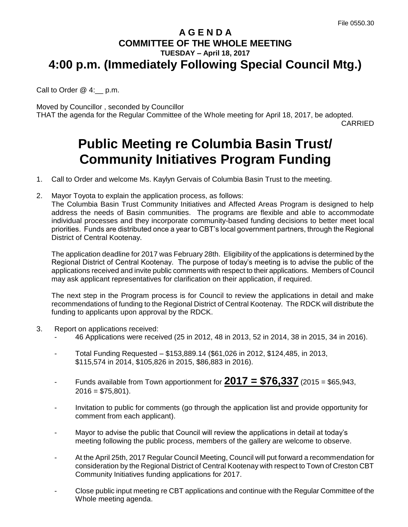## **A G E N D A COMMITTEE OF THE WHOLE MEETING TUESDAY – April 18, 2017 4:00 p.m. (Immediately Following Special Council Mtg.)**

Call to Order @ 4:\_\_ p.m.

Moved by Councillor , seconded by Councillor THAT the agenda for the Regular Committee of the Whole meeting for April 18, 2017, be adopted.

CARRIED

## **Public Meeting re Columbia Basin Trust/ Community Initiatives Program Funding**

1. Call to Order and welcome Ms. Kaylyn Gervais of Columbia Basin Trust to the meeting.

2. Mayor Toyota to explain the application process, as follows:

The Columbia Basin Trust Community Initiatives and Affected Areas Program is designed to help address the needs of Basin communities. The programs are flexible and able to accommodate individual processes and they incorporate community-based funding decisions to better meet local priorities. Funds are distributed once a year to CBT's local government partners, through the Regional District of Central Kootenay.

The application deadline for 2017 was February 28th. Eligibility of the applications is determined by the Regional District of Central Kootenay. The purpose of today's meeting is to advise the public of the applications received and invite public comments with respect to their applications. Members of Council may ask applicant representatives for clarification on their application, if required.

The next step in the Program process is for Council to review the applications in detail and make recommendations of funding to the Regional District of Central Kootenay. The RDCK will distribute the funding to applicants upon approval by the RDCK.

- 3. Report on applications received:
	- 46 Applications were received (25 in 2012, 48 in 2013, 52 in 2014, 38 in 2015, 34 in 2016).
	- Total Funding Requested \$153,889.14 (\$61,026 in 2012, \$124,485, in 2013, \$115,574 in 2014, \$105,826 in 2015, \$86,883 in 2016).
	- Funds available from Town apportionment for  $2017 = $76,337$  (2015 = \$65,943,  $2016 = $75,801$ ).
	- Invitation to public for comments (go through the application list and provide opportunity for comment from each applicant).
	- Mayor to advise the public that Council will review the applications in detail at today's meeting following the public process, members of the gallery are welcome to observe.
	- At the April 25th, 2017 Regular Council Meeting, Council will put forward a recommendation for consideration by the Regional District of Central Kootenay with respect to Town of Creston CBT Community Initiatives funding applications for 2017.
	- Close public input meeting re CBT applications and continue with the Regular Committee of the Whole meeting agenda.